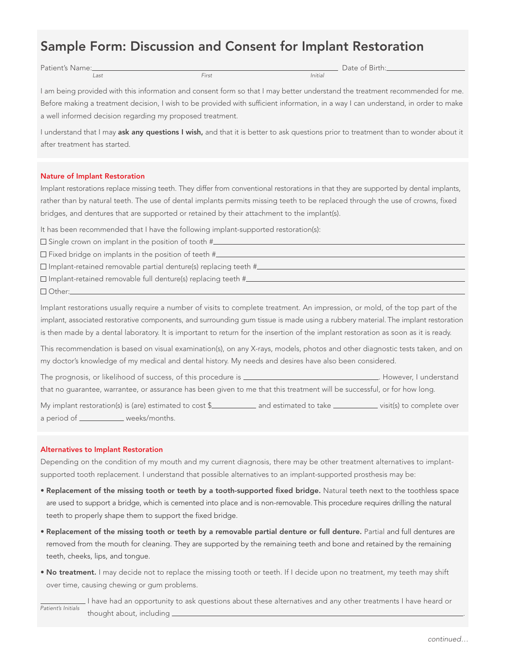# Sample Form: Discussion and Consent for Implant Restoration

Patient's Name: and the contract of Birth Contract of Birth Contract of Birth Contract of Birth Contract of Birth.

Last First Initial

I am being provided with this information and consent form so that I may better understand the treatment recommended for me. Before making a treatment decision, I wish to be provided with sufficient information, in a way I can understand, in order to make a well informed decision regarding my proposed treatment.

I understand that I may ask any questions I wish, and that it is better to ask questions prior to treatment than to wonder about it after treatment has started.

# Nature of Implant Restoration

Implant restorations replace missing teeth. They differ from conventional restorations in that they are supported by dental implants, rather than by natural teeth. The use of dental implants permits missing teeth to be replaced through the use of crowns, fixed bridges, and dentures that are supported or retained by their attachment to the implant(s).

It has been recommended that I have the following implant-supported restoration(s):

- $\square$  Single crown on implant in the position of tooth  $\#$
- $\square$  Fixed bridge on implants in the position of teeth  $\#$
- Implant-retained removable partial denture(s) replacing teeth #
- $\square$  Implant-retained removable full denture(s) replacing teeth # $\_\_$
- □ Other:

Implant restorations usually require a number of visits to complete treatment. An impression, or mold, of the top part of the implant, associated restorative components, and surrounding gum tissue is made using a rubbery material. The implant restoration is then made by a dental laboratory. It is important to return for the insertion of the implant restoration as soon as it is ready.

This recommendation is based on visual examination(s), on any X-rays, models, photos and other diagnostic tests taken, and on my doctor's knowledge of my medical and dental history. My needs and desires have also been considered.

The prognosis, or likelihood of success, of this procedure is \_\_\_\_\_\_\_\_\_\_\_\_\_\_\_\_\_\_\_\_\_\_\_\_\_\_\_\_\_\_\_\_. However, I understand that no guarantee, warrantee, or assurance has been given to me that this treatment will be successful, or for how long.

My implant restoration(s) is (are) estimated to cost \$\_\_\_\_\_\_\_\_\_\_\_\_\_ and estimated to take \_\_\_\_\_\_\_\_\_\_\_\_\_ visit(s) to complete over a period of \_\_\_\_\_\_\_\_\_\_\_\_ weeks/months.

# Alternatives to Implant Restoration

Depending on the condition of my mouth and my current diagnosis, there may be other treatment alternatives to implantsupported tooth replacement. I understand that possible alternatives to an implant-supported prosthesis may be:

- • Replacement of the missing tooth or teeth by a tooth-supported fixed bridge. Natural teeth next to the toothless space are used to support a bridge, which is cemented into place and is non-removable. This procedure requires drilling the natural teeth to properly shape them to support the fixed bridge.
- • Replacement of the missing tooth or teeth by a removable partial denture or full denture. Partial and full dentures are removed from the mouth for cleaning. They are supported by the remaining teeth and bone and retained by the remaining teeth, cheeks, lips, and tongue.
- No treatment. I may decide not to replace the missing tooth or teeth. If I decide upon no treatment, my teeth may shift over time, causing chewing or gum problems.

 I have had an opportunity to ask questions about these alternatives and any other treatments I have heard or thought about, including \_ Patient's Initials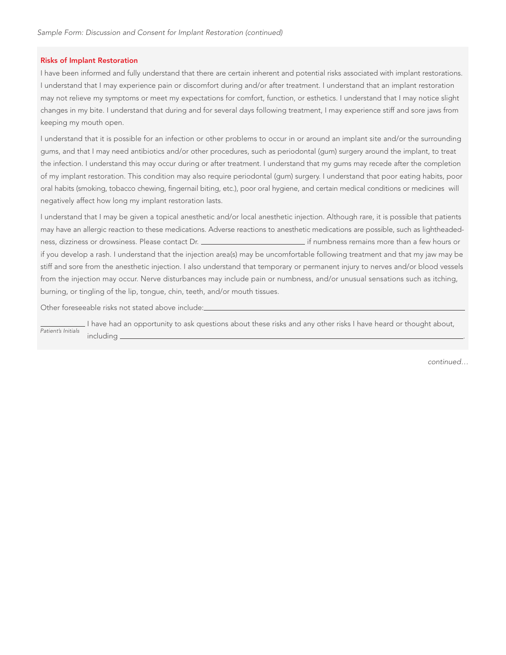## Risks of Implant Restoration

I have been informed and fully understand that there are certain inherent and potential risks associated with implant restorations. I understand that I may experience pain or discomfort during and/or after treatment. I understand that an implant restoration may not relieve my symptoms or meet my expectations for comfort, function, or esthetics. I understand that I may notice slight changes in my bite. I understand that during and for several days following treatment, I may experience stiff and sore jaws from keeping my mouth open.

I understand that it is possible for an infection or other problems to occur in or around an implant site and/or the surrounding gums, and that I may need antibiotics and/or other procedures, such as periodontal (gum) surgery around the implant, to treat the infection. I understand this may occur during or after treatment. I understand that my gums may recede after the completion of my implant restoration. This condition may also require periodontal (gum) surgery. I understand that poor eating habits, poor oral habits (smoking, tobacco chewing, fingernail biting, etc.), poor oral hygiene, and certain medical conditions or medicines will negatively affect how long my implant restoration lasts.

I understand that I may be given a topical anesthetic and/or local anesthetic injection. Although rare, it is possible that patients may have an allergic reaction to these medications. Adverse reactions to anesthetic medications are possible, such as lightheadedness, dizziness or drowsiness. Please contact Dr. \_\_\_\_\_\_\_\_\_\_\_\_\_\_\_\_\_\_\_\_\_\_\_\_\_\_\_\_\_\_\_ if numbness remains more than a few hours or if you develop a rash. I understand that the injection area(s) may be uncomfortable following treatment and that my jaw may be stiff and sore from the anesthetic injection. I also understand that temporary or permanent injury to nerves and/or blood vessels from the injection may occur. Nerve disturbances may include pain or numbness, and/or unusual sensations such as itching, burning, or tingling of the lip, tongue, chin, teeth, and/or mouth tissues.

Other foreseeable risks not stated above include:

I have had an opportunity to ask questions about these risks and any other risks I have heard or thought about, including . Patient's Initials

continued…